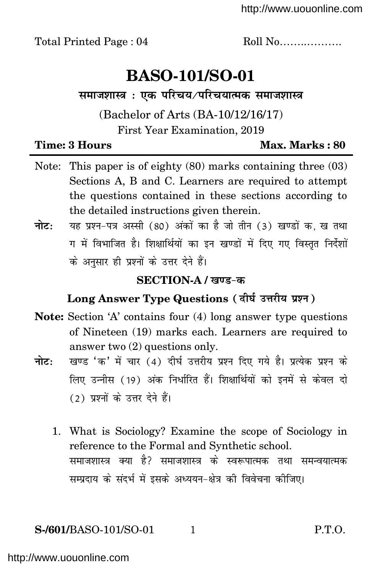# **BASO-101/SO-01**

**. समाजशास्त्र**: एक परिचय⁄परिचयात्मक समाजशास्त्र

# (Bachelor of Arts (BA-10/12/16/17) First Year Examination, 2019

#### **Time: 3 Hours Max. Max. Marks** : 80

- Note: This paper is of eighty (80) marks containing three (03) Sections A, B and C. Learners are required to attempt the questions contained in these sections according to the detailed instructions given therein.
- **नोट:** यह प्रश्न-पत्र अस्सी (80) अंकों का है जो तीन (3) खण्डों क. ख तथा <u>ग में विभाजित है। शिक्षार्थियों का इन खण्डों में दिए गए विस्तत निर्देशों</u> के अनुसार ही प्रश्नों के उत्तर देने हैं।

### $SECTION-A /$  खण्ड-क

# Long Answer Type Questions (दीर्घ उत्तरीय प्रश्न)

- **Note:** Section 'A' contains four (4) long answer type questions of Nineteen (19) marks each. Learners are required to answer two (2) questions only.
- **नोट:** खण्ड 'क' में चार (4) दीर्घ उत्तरीय प्रश्न दिए गये है। प्रत्येक प्रश्न के <u>लिए उन्नीस (19) अंक निर्धारित हैं। शिक्षार्थियों को इनमें से केवल दो</u> (2) प्रश्नों के उत्तर देने हैं।
	- 1. What is Sociology? Examine the scope of Sociology in reference to the Formal and Synthetic school. समाजशास्त्र क्या है? समाजशास्त्र के स्वरूपात्मक तथा समन्वयात्मक सम्प्रदाय के संदर्भ में इसके अध्ययन-क्षेत्र की विवेचना कीजिए।

# **S-/601/BASO-101/SO-01** 1 P.T.O.

<http://www.uouonline.com>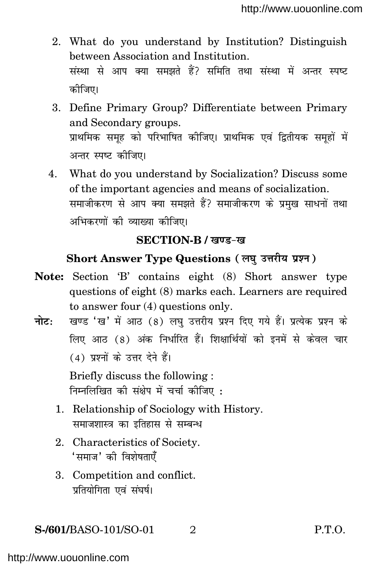- 2. What do you understand by Institution? Distinguish between Association and Institution. संस्था से आप क्या समझते हैं? समिति तथा संस्था में अन्तर स्पष्ट कोजिए।
- 3. Define Primary Group? Differentiate between Primary and Secondary groups. प्राथमिक समूह को परिभाषित कीजिए। प्राथमिक एवं द्वितीयक समूहों में अन्तर स्पष्ट कीजिए।
- 4. What do you understand by Socialization? Discuss some of the important agencies and means of socialization. समाजीकरण से आप क्या समझते हैं? समाजीकरण के प्रमुख साधनों तथा अभिकरणों की व्याख्या कीजिए।

#### **SECTION-B /** *ख***ण्ड-ख**

#### **Short Answer Type Questions** (लघु उत्तरीय ग्रश्न)

- **Note:** Section 'B' contains eight (8) Short answer type questions of eight (8) marks each. Learners are required to answer four (4) questions only.
- **नोट: खण्ड 'ख'** में आठ (8) लघु उत्तरीय प्रश्न दिए गये हैं। प्रत्येक प्रश्न के <u>लिए आठ (8) अंक निर्धारित हैं। शिक्षार्थियों को इनमें से केवल चार</u> (4) पश्नों के उत्तर देने हैं।

Briefly discuss the following : **fuEufyf[ kr dh l a{ksi esa ppkZ dhft , %**

- 1. Relationship of Sociology with History. समाजशास्त्र का इतिहास से सम्बन्ध
- 2. Characteristics of Society.  $^{\prime}$ समाज $^{\prime}$  की विशेषताएँ
- 3. Competition and conflict. **प्रतियोगिता एवं संघर्ष।**

#### **S-/601/**BASO-101/SO-01 2 P.T.O.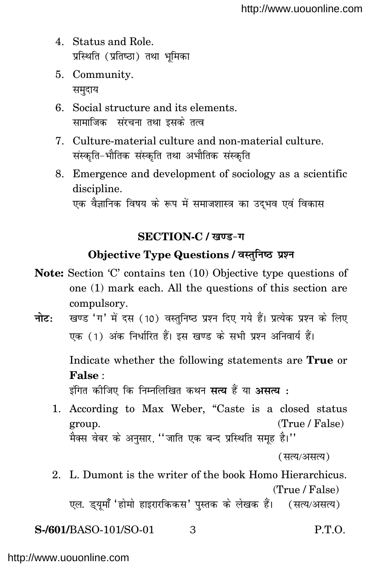- 4. Status and Role. प्रस्थिति (प्रतिष्ठा) तथा भमिका
- 5. Community. समुदाय
- 6. Social structure and its elements. सामाजिक संरचना तथा इसके तत्व
- 7. Culture-material culture and non-material culture. संस्कृति-भौतिक संस्कृति तथा अभौतिक संस्कृति
- 8. Emergence and development of sociology as a scientific discipline. एक वैज्ञानिक विषय के रूप में समाजशास्त्र का उदभव एवं विकास

# SECTION-C / खण्ड-ग

# Objective Type Questions / वस्तुनिष्ठ प्रश्न

- Note: Section 'C' contains ten (10) Objective type questions of one (1) mark each. All the questions of this section are compulsory.
- खण्ड 'ग' में दस (10) वस्तुनिष्ठ प्रश्न दिए गये हैं। प्रत्येक प्रश्न के लिए नोटः एक (1) अंक निर्धारित हैं। इस खण्ड के सभी प्रश्न अनिवार्य हैं।

Indicate whether the following statements are **True** or False:

इंगित कीजिए कि निम्नलिखित कथन **सत्य** हैं या **असत्य**ः

1. According to Max Weber, "Caste is a closed status (True / False) group. .<br>मैक्स वेबर के अनसार. ''जाति एक बन्द प्रस्थिति समह है।''

2. L. Dumont is the writer of the book Homo Hierarchicus.  $(True / False)$ 

एल. ड्यूमाँ 'होमो हाइरारकिकस' पुस्तक के लेखक हैं। (सत्य/असत्य)

S-/601/BASO-101/SO-01 3 P.T.O.

<sup>(</sup>सत्य/असत्य)